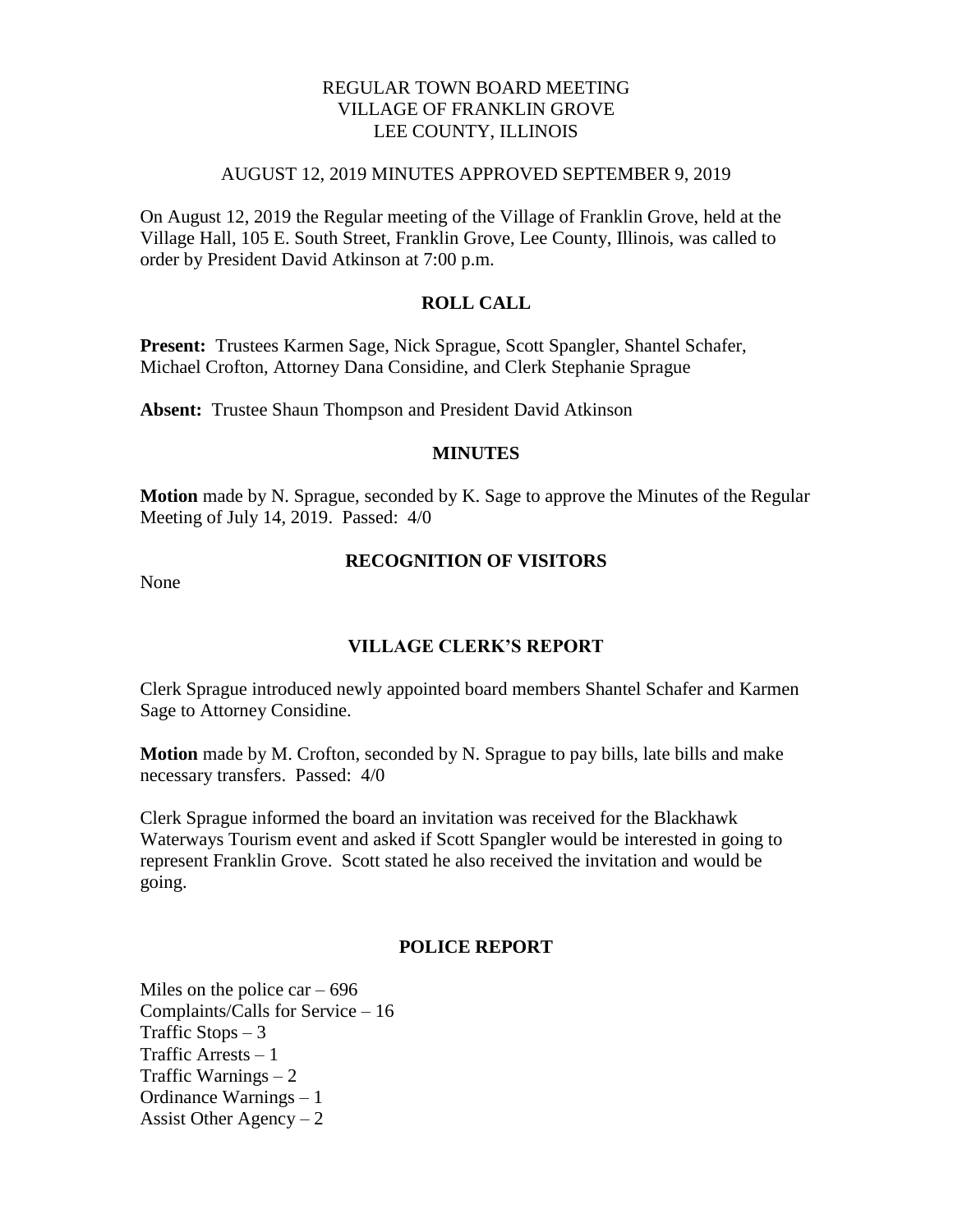# REGULAR TOWN BOARD MEETING VILLAGE OF FRANKLIN GROVE LEE COUNTY, ILLINOIS

### AUGUST 12, 2019 MINUTES APPROVED SEPTEMBER 9, 2019

On August 12, 2019 the Regular meeting of the Village of Franklin Grove, held at the Village Hall, 105 E. South Street, Franklin Grove, Lee County, Illinois, was called to order by President David Atkinson at 7:00 p.m.

## **ROLL CALL**

**Present:** Trustees Karmen Sage, Nick Sprague, Scott Spangler, Shantel Schafer, Michael Crofton, Attorney Dana Considine, and Clerk Stephanie Sprague

**Absent:** Trustee Shaun Thompson and President David Atkinson

## **MINUTES**

**Motion** made by N. Sprague, seconded by K. Sage to approve the Minutes of the Regular Meeting of July 14, 2019. Passed: 4/0

## **RECOGNITION OF VISITORS**

None

# **VILLAGE CLERK'S REPORT**

Clerk Sprague introduced newly appointed board members Shantel Schafer and Karmen Sage to Attorney Considine.

**Motion** made by M. Crofton, seconded by N. Sprague to pay bills, late bills and make necessary transfers. Passed: 4/0

Clerk Sprague informed the board an invitation was received for the Blackhawk Waterways Tourism event and asked if Scott Spangler would be interested in going to represent Franklin Grove. Scott stated he also received the invitation and would be going.

## **POLICE REPORT**

Miles on the police car  $-696$ Complaints/Calls for Service – 16 Traffic Stops – 3 Traffic Arrests – 1 Traffic Warnings – 2 Ordinance Warnings – 1 Assist Other Agency  $-2$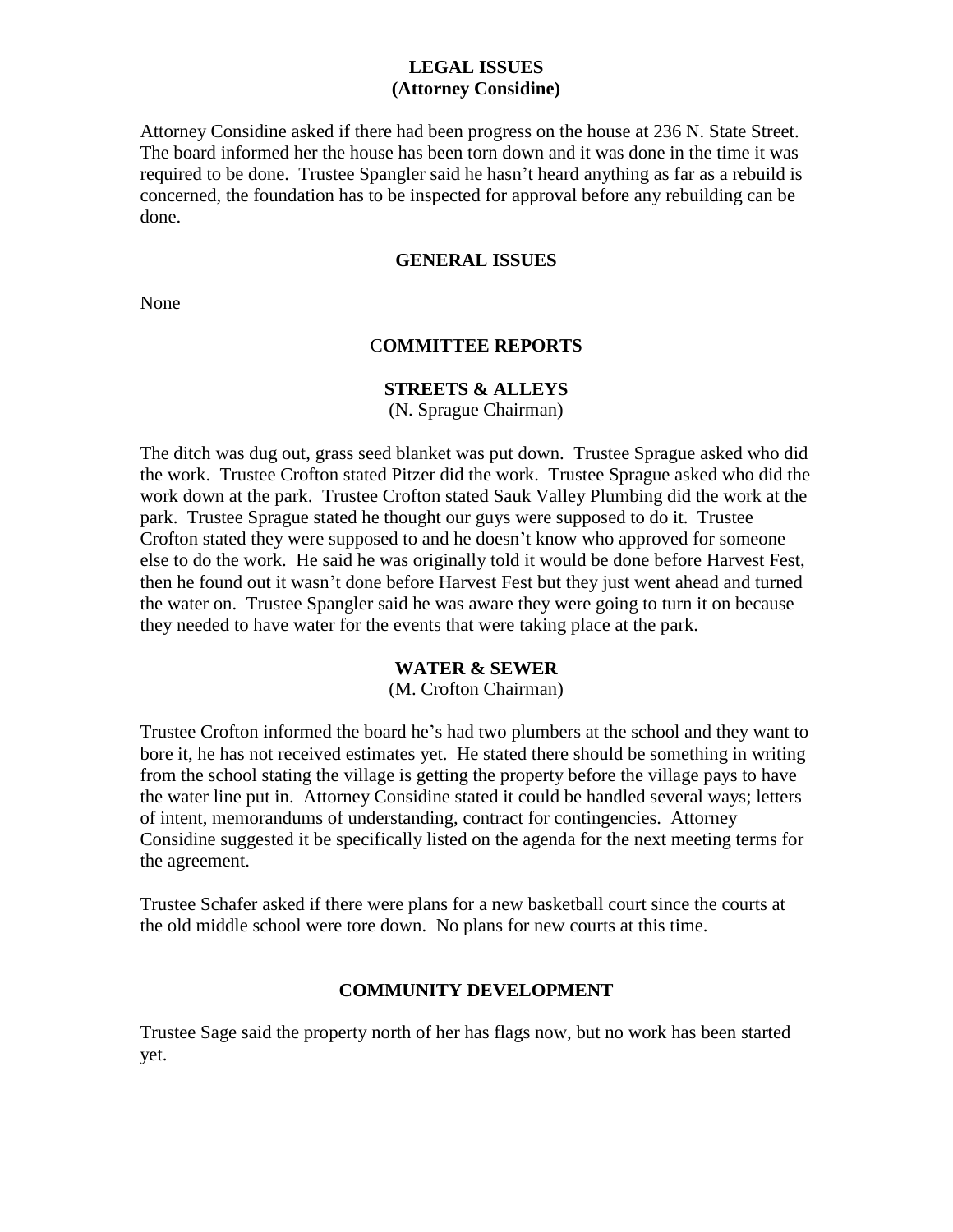# **LEGAL ISSUES (Attorney Considine)**

Attorney Considine asked if there had been progress on the house at 236 N. State Street. The board informed her the house has been torn down and it was done in the time it was required to be done. Trustee Spangler said he hasn't heard anything as far as a rebuild is concerned, the foundation has to be inspected for approval before any rebuilding can be done.

## **GENERAL ISSUES**

None

## C**OMMITTEE REPORTS**

# **STREETS & ALLEYS**

(N. Sprague Chairman)

The ditch was dug out, grass seed blanket was put down. Trustee Sprague asked who did the work. Trustee Crofton stated Pitzer did the work. Trustee Sprague asked who did the work down at the park. Trustee Crofton stated Sauk Valley Plumbing did the work at the park. Trustee Sprague stated he thought our guys were supposed to do it. Trustee Crofton stated they were supposed to and he doesn't know who approved for someone else to do the work. He said he was originally told it would be done before Harvest Fest, then he found out it wasn't done before Harvest Fest but they just went ahead and turned the water on. Trustee Spangler said he was aware they were going to turn it on because they needed to have water for the events that were taking place at the park.

#### **WATER & SEWER**

(M. Crofton Chairman)

Trustee Crofton informed the board he's had two plumbers at the school and they want to bore it, he has not received estimates yet. He stated there should be something in writing from the school stating the village is getting the property before the village pays to have the water line put in. Attorney Considine stated it could be handled several ways; letters of intent, memorandums of understanding, contract for contingencies. Attorney Considine suggested it be specifically listed on the agenda for the next meeting terms for the agreement.

Trustee Schafer asked if there were plans for a new basketball court since the courts at the old middle school were tore down. No plans for new courts at this time.

## **COMMUNITY DEVELOPMENT**

Trustee Sage said the property north of her has flags now, but no work has been started yet.